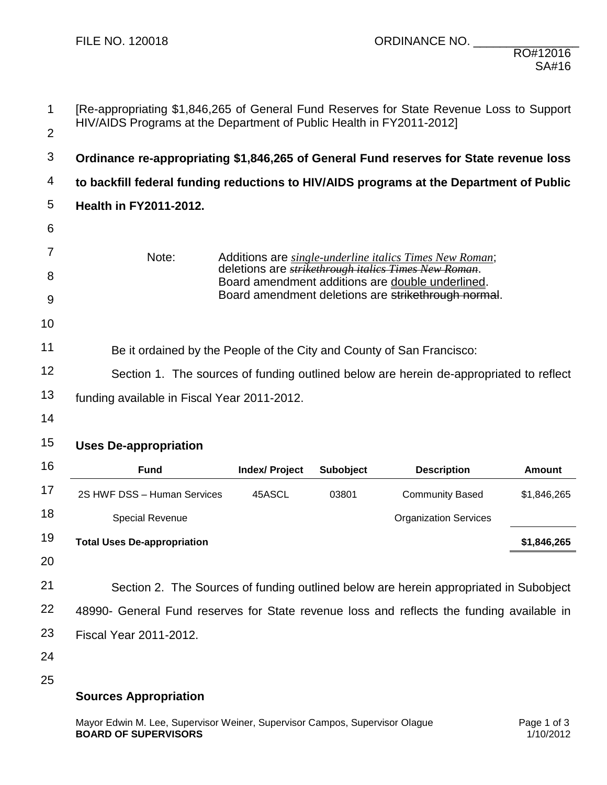| 1<br>$\overline{2}$ | [Re-appropriating \$1,846,265 of General Fund Reserves for State Revenue Loss to Support<br>HIV/AIDS Programs at the Department of Public Health in FY2011-2012] |                |           |                                                                                                                  |               |
|---------------------|------------------------------------------------------------------------------------------------------------------------------------------------------------------|----------------|-----------|------------------------------------------------------------------------------------------------------------------|---------------|
| 3                   | Ordinance re-appropriating \$1,846,265 of General Fund reserves for State revenue loss                                                                           |                |           |                                                                                                                  |               |
| 4                   | to backfill federal funding reductions to HIV/AIDS programs at the Department of Public                                                                          |                |           |                                                                                                                  |               |
| 5                   | <b>Health in FY2011-2012.</b>                                                                                                                                    |                |           |                                                                                                                  |               |
| 6                   |                                                                                                                                                                  |                |           |                                                                                                                  |               |
| $\overline{7}$      | Note:                                                                                                                                                            |                |           | Additions are <i>single-underline italics Times New Roman</i> ;                                                  |               |
| 8                   |                                                                                                                                                                  |                |           | deletions are <i>strikethrough italics Times New Roman</i> .<br>Board amendment additions are double underlined. |               |
| 9                   |                                                                                                                                                                  |                |           | Board amendment deletions are strikethrough normal.                                                              |               |
| 10                  |                                                                                                                                                                  |                |           |                                                                                                                  |               |
| 11                  | Be it ordained by the People of the City and County of San Francisco:                                                                                            |                |           |                                                                                                                  |               |
| 12                  | Section 1. The sources of funding outlined below are herein de-appropriated to reflect                                                                           |                |           |                                                                                                                  |               |
| 13                  | funding available in Fiscal Year 2011-2012.                                                                                                                      |                |           |                                                                                                                  |               |
| 14                  |                                                                                                                                                                  |                |           |                                                                                                                  |               |
| 15                  | <b>Uses De-appropriation</b>                                                                                                                                     |                |           |                                                                                                                  |               |
| 16                  | <b>Fund</b>                                                                                                                                                      | Index/ Project | Subobject | <b>Description</b>                                                                                               | <b>Amount</b> |
| 17                  | 2S HWF DSS - Human Services                                                                                                                                      | 45ASCL         | 03801     | <b>Community Based</b>                                                                                           | \$1,846,265   |
| 18                  | Special Revenue                                                                                                                                                  |                |           | <b>Organization Services</b>                                                                                     |               |
| 19                  | <b>Total Uses De-appropriation</b>                                                                                                                               |                |           |                                                                                                                  | \$1,846,265   |
| 20                  |                                                                                                                                                                  |                |           |                                                                                                                  |               |
| 21                  | Section 2. The Sources of funding outlined below are herein appropriated in Subobject                                                                            |                |           |                                                                                                                  |               |
| 22                  | 48990- General Fund reserves for State revenue loss and reflects the funding available in                                                                        |                |           |                                                                                                                  |               |
| 23                  | Fiscal Year 2011-2012.                                                                                                                                           |                |           |                                                                                                                  |               |
| 24                  |                                                                                                                                                                  |                |           |                                                                                                                  |               |
| 25                  |                                                                                                                                                                  |                |           |                                                                                                                  |               |

## **Sources Appropriation**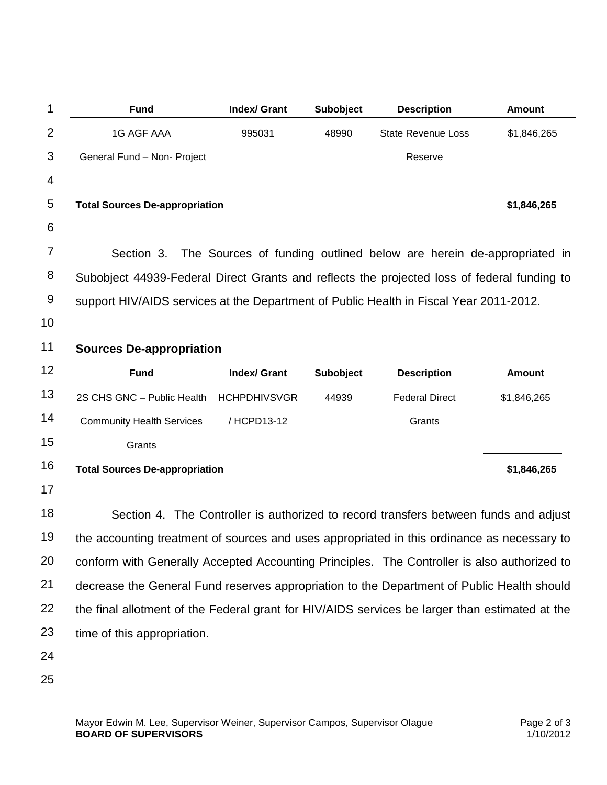| 1  | <b>Fund</b>                                                                                    | <b>Index/ Grant</b> | Subobject | <b>Description</b>                                                                   | <b>Amount</b> |
|----|------------------------------------------------------------------------------------------------|---------------------|-----------|--------------------------------------------------------------------------------------|---------------|
| 2  | 1G AGF AAA                                                                                     | 995031              | 48990     | <b>State Revenue Loss</b>                                                            | \$1,846,265   |
| 3  | General Fund - Non- Project                                                                    |                     |           | Reserve                                                                              |               |
| 4  |                                                                                                |                     |           |                                                                                      |               |
| 5  | <b>Total Sources De-appropriation</b>                                                          |                     |           |                                                                                      | \$1,846,265   |
| 6  |                                                                                                |                     |           |                                                                                      |               |
| 7  | Section 3.                                                                                     |                     |           | The Sources of funding outlined below are herein de-appropriated in                  |               |
| 8  | Subobject 44939-Federal Direct Grants and reflects the projected loss of federal funding to    |                     |           |                                                                                      |               |
| 9  | support HIV/AIDS services at the Department of Public Health in Fiscal Year 2011-2012.         |                     |           |                                                                                      |               |
| 10 |                                                                                                |                     |           |                                                                                      |               |
| 11 | <b>Sources De-appropriation</b>                                                                |                     |           |                                                                                      |               |
| 12 | <b>Fund</b>                                                                                    | <b>Index/ Grant</b> | Subobject | <b>Description</b>                                                                   | <b>Amount</b> |
| 13 | 2S CHS GNC - Public Health                                                                     | <b>HCHPDHIVSVGR</b> | 44939     | <b>Federal Direct</b>                                                                | \$1,846,265   |
| 14 | <b>Community Health Services</b>                                                               | / HCPD13-12         |           | Grants                                                                               |               |
| 15 | Grants                                                                                         |                     |           |                                                                                      |               |
| 16 | <b>Total Sources De-appropriation</b>                                                          |                     |           |                                                                                      | \$1,846,265   |
| 17 |                                                                                                |                     |           |                                                                                      |               |
| 18 |                                                                                                |                     |           | Section 4. The Controller is authorized to record transfers between funds and adjust |               |
| 19 | the accounting treatment of sources and uses appropriated in this ordinance as necessary to    |                     |           |                                                                                      |               |
| 20 | conform with Generally Accepted Accounting Principles. The Controller is also authorized to    |                     |           |                                                                                      |               |
| 21 | decrease the General Fund reserves appropriation to the Department of Public Health should     |                     |           |                                                                                      |               |
| 22 | the final allotment of the Federal grant for HIV/AIDS services be larger than estimated at the |                     |           |                                                                                      |               |
| 23 | time of this appropriation.                                                                    |                     |           |                                                                                      |               |
| 24 |                                                                                                |                     |           |                                                                                      |               |
| 25 |                                                                                                |                     |           |                                                                                      |               |